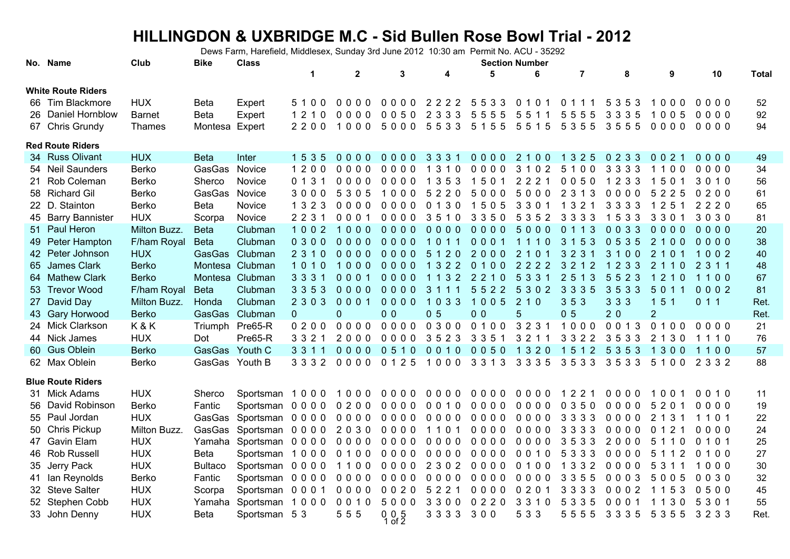## **HILLINGDON & UXBRIDGE M.C - Sid Bullen Rose Bowl Trial - 2012**

Dews Farm, Harefield, Middlesex, Sunday 3rd June 2012 10:30 am Permit No. ACU - 35292

|     | No. Name                  | Club          | <b>Bike</b>    | <b>Class</b>      |         |              |                     |                |                | <b>Section Number</b> |                |         |                       |         |              |
|-----|---------------------------|---------------|----------------|-------------------|---------|--------------|---------------------|----------------|----------------|-----------------------|----------------|---------|-----------------------|---------|--------------|
|     |                           |               |                |                   | 1       | $\mathbf{2}$ | 3                   | 4              | 5              | 6                     | $\overline{7}$ | 8       | 9                     | 10      | <b>Total</b> |
|     | <b>White Route Riders</b> |               |                |                   |         |              |                     |                |                |                       |                |         |                       |         |              |
|     | 66 Tim Blackmore          | <b>HUX</b>    | <b>Beta</b>    | Expert            | 5100    | 0000         |                     | 0000 2222 5533 |                | 0 1 0 1               | 0 1 1 1        | 5 3 5 3 | 1000                  | 0000    | 52           |
|     | 26 Daniel Hornblow        | <b>Barnet</b> | <b>Beta</b>    | Expert            | 1210    | $0000$       | 0050                | 2 3 3 3        | 5555           | 5511                  | 5555           | 3 3 3 5 | 1005                  | 0000    | 92           |
|     | 67 Chris Grundy           | Thames        | Montesa Expert |                   | 2200    | 1000         | 5000 5533           |                | 51555515       |                       | 5355 3555      |         | $0000$                | 0000    | 94           |
|     | <b>Red Route Riders</b>   |               |                |                   |         |              |                     |                |                |                       |                |         |                       |         |              |
|     | 34 Russ Olivant           | <b>HUX</b>    | <b>Beta</b>    | Inter             | 1 5 3 5 | 0000         | $0000$              | 3 3 3 1        | $0000$         | 2 1 0 0               | 1 3 2 5        | 0233    | 0 0 2 1               | $0000$  | 49           |
|     | 54 Neil Saunders          | <b>Berko</b>  | GasGas         | Novice            | 1200    | $0000$       | 0000                | 1 3 1 0        | 0000           | 3 1 0 2               | 5100           | 3 3 3 3 | 1100                  | 0000    | 34           |
|     | 21 Rob Coleman            | Berko         | Sherco         | Novice            | 0131    | 0000         | 0000                | 1 3 5 3        | 1501           | 2 2 2 1               | 0050           | 1 2 3 3 | 1501                  | 3010    | 56           |
|     | 58 Richard Gil            | Berko         | GasGas         | Novice            | 3000    | 5305         | 1000                | 5220           | 5000           | 5000                  | 2 3 1 3        | 0000    | 5<br>2 2 5            | 0200    | 61           |
|     | 22 D. Stainton            | Berko         | <b>Beta</b>    | Novice            | 1 3 2 3 | $0000$       | 0000                | 0130           | 1505           | 3 3 0 1               | 1 3 2 1        | 3 3 3 3 | 1 2 5 1               | 2220    | 65           |
|     | 45 Barry Bannister        | <b>HUX</b>    | Scorpa         | Novice            | 2 2 3 1 | $0001$       | 0000                | 3510           | 3350           | 5 3 5 2               | 3 3 3 3        | 1533    | 3 3 0 1               | 3030    | 81           |
|     | 51 Paul Heron             | Milton Buzz.  | <b>Beta</b>    | Clubman           | 1002    | 1000         | $0000$              | 0000           | $0000$         | 5000                  | 0113           | 0033    | 0000                  | 0000    | $20\,$       |
|     | 49 Peter Hampton          | F/ham Royal   | <b>Beta</b>    | Clubman           | 0300    | 0000         | 0000                | 1011           | 0001           | 1110                  | 3 1 5 3        | 0535    | 2100                  | 0000    | 38           |
|     | 42 Peter Johnson          | <b>HUX</b>    |                | GasGas Clubman    | 2 3 1 0 | $0000$       | $0000$              | 5 1 2 0        | 2000           | 2 1 0 1               | 3 2 3 1        | 3100    | 2 1 0 1               | 1002    | 40           |
| 65  | James Clark               | <b>Berko</b>  |                | Montesa Clubman   | 1010    | 1000         | 0000                | 1322           | 0100           | 2222                  | 3 2 1 2        | 1 2 3 3 | 2110                  | 2 3 1 1 | 48           |
|     | 64 Mathew Clark           | <b>Berko</b>  |                | Montesa Clubman   | 3 3 3 1 | 0001         | 0000                | 1132 2210      |                | 5 3 3 1               | 2 5 1 3        | 5523    | 1210                  | 1100    | 67           |
|     | 53 Trevor Wood            | F/ham Royal   | <b>Beta</b>    | Clubman           | 3 3 5 3 | $0000$       | $0000$              | 3 1 1 1        | 5522           | 5302                  | 3 3 3 5        | 3533    | 5011                  | 0002    | 81           |
|     | 27 David Day              | Milton Buzz.  | Honda          | Clubman           | 2 3 0 3 | 0001         | $0000$              | 1033           | 1005           | 210                   | 353            | 3 3 3   | 151                   | 0 1 1   | Ret.         |
|     | 43 Gary Horwood           | <b>Berko</b>  |                | GasGas Clubman    | 0       | 0            | 0 <sub>0</sub>      | 0 <sub>5</sub> | 0 <sub>0</sub> | 5                     | 0 <sub>5</sub> | 20      | $\overline{2}$        |         | Ret.         |
|     | 24 Mick Clarkson          | K&K           |                | Triumph Pre65-R   | 0200    | 0000         | 0000                | 0300           | 0 1 0 0        | 3 2 3 1               | 1000           | 0013    | 0100                  | 0000    | 21           |
|     | 44 Nick James             | <b>HUX</b>    | Dot            | Pre65-R           | 3321    | 2000         | $0000$              | 3523           | 3 3 5 1        | 3 2 1 1               | 3 3 2 2        | 3533    | 2 1 3 0               | 1110    | 76           |
|     | 60 Gus Oblein             | <b>Berko</b>  | GasGas Youth C |                   | 3 3 1 1 | $0000$       | 0510                | 0010           | 0050           | 1 3 2 0               | 1512           | 5 3 5 3 | $\overline{1}$<br>300 | 1100    | 57           |
|     | 62 Max Oblein             | Berko         | GasGas Youth B |                   | 3 3 3 2 | 0000         | 0 1 2 5             | 1000           | 3 3 1 3        | 3 3 3 5               | 3533           | 3533    | 5100                  | 2 3 3 2 | 88           |
|     | <b>Blue Route Riders</b>  |               |                |                   |         |              |                     |                |                |                       |                |         |                       |         |              |
|     | 31 Mick Adams             | <b>HUX</b>    | Sherco         | Sportsman 1000    |         | 1000         | $0000$              | 0000           | $0000$         | 0000                  | 1 2 2 1        | 0000    | 1001                  | 0010    | 11           |
| 56. | David Robinson            | Berko         | Fantic         | Sportsman 0 0 0 0 |         | 0200         | 0000                | 0010           | 0000           | 0000                  | 0350           | 0000    | 5 2 0 1               | 0000    | 19           |
|     | 55 Paul Jordan            | <b>HUX</b>    | GasGas         | Sportsman 0000    |         | 0000         | 0000                | 0000           | 0000           | 0000                  | 3 3 3 3        | 0000    | 2 1 3 1               | 1101    | 22           |
|     | 50 Chris Pickup           | Milton Buzz.  | GasGas         | Sportsman         | $0000$  | 2030         | 0000                | 1101           | $0000$         | $0000$                | 3 3 3 3        | 0000    | 0 1 2 1               | $0000$  | 24           |
|     | 47 Gavin Elam             | <b>HUX</b>    | Yamaha         | Sportsman         | 0000    | 0000         | 0000                | 0000           | 0000           | 0000                  | 3533           | 2000    | 5 1 1 0               | 0101    | 25           |
|     | 46 Rob Russell            | <b>HUX</b>    | <b>Beta</b>    | Sportsman         | 1000    | 0100         | 0000                | 0000           | 0000           | 0010                  | 5 3 3 3        | 0000    | 5 1 1 2               | 0 1 0 0 | 27           |
|     | 35 Jerry Pack             | <b>HUX</b>    | <b>Bultaco</b> | Sportsman 0000    |         | 1100         | $0000$              | 2 3 0 2        | 0000           | 0100                  | 1 3 3 2        | $0000$  | 5 3 1 1               | 1000    | $30\,$       |
|     | 41 Ian Reynolds           | Berko         | Fantic         | Sportsman 0000    |         | 0000         | 0000                | 0000           | 0000           | 0000                  | 3 3 5 5        | $0003$  | 5005                  | 0030    | 32           |
|     | 32 Steve Salter           | <b>HUX</b>    | Scorpa         | Sportsman         | 0001    | 0000         | 0020                | 5 2 2 1        | 0000           | 0 2 0 1               | 3 3 3 3        | 0002    | 1 1 5 3               | 0500    | 45           |
|     | 52 Stephen Cobb           | <b>HUX</b>    | Yamaha         | Sportsman         | 1000    | 0010         | 5000                | 3300           | 0220           | 3 3 1 0               | 5 3 3 5        | 0001    | 1 1 3 0               | 5301    | 55           |
|     | 33 John Denny             | <b>HUX</b>    | <b>Beta</b>    | Sportsman 5 3     |         | 555          | $0, 0, 5$<br>1 of 2 | 3 3 3 3        | 300            | 5 3 3                 | 5555           | 3 3 3 5 | 5 3 5 5               | 3233    | Ret.         |